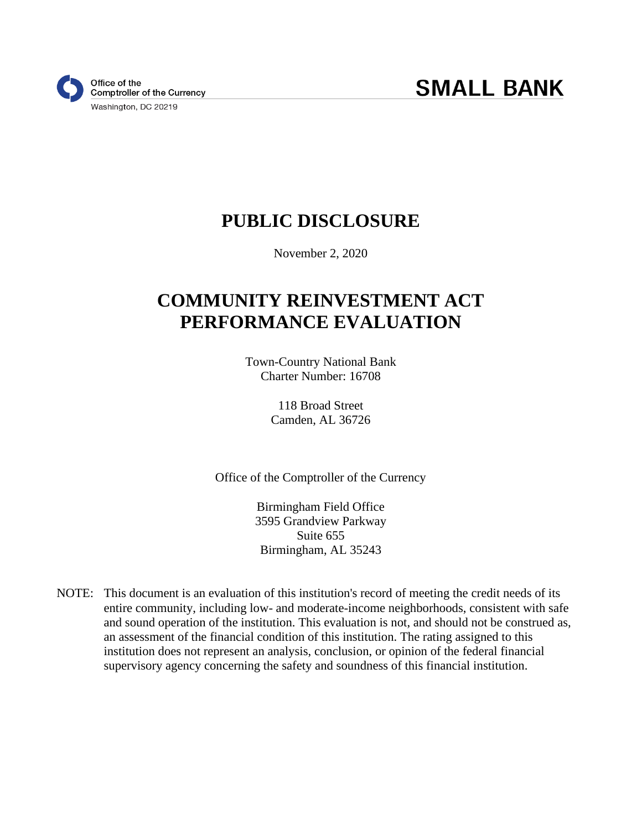# **PUBLIC DISCLOSURE**

November 2, 2020

# **COMMUNITY REINVESTMENT ACT PERFORMANCE EVALUATION**

Town-Country National Bank Charter Number: 16708

> 118 Broad Street Camden, AL 36726

Office of the Comptroller of the Currency

Birmingham Field Office 3595 Grandview Parkway Suite 655 Birmingham, AL 35243

NOTE: This document is an evaluation of this institution's record of meeting the credit needs of its entire community, including low- and moderate-income neighborhoods, consistent with safe and sound operation of the institution. This evaluation is not, and should not be construed as, an assessment of the financial condition of this institution. The rating assigned to this institution does not represent an analysis, conclusion, or opinion of the federal financial supervisory agency concerning the safety and soundness of this financial institution.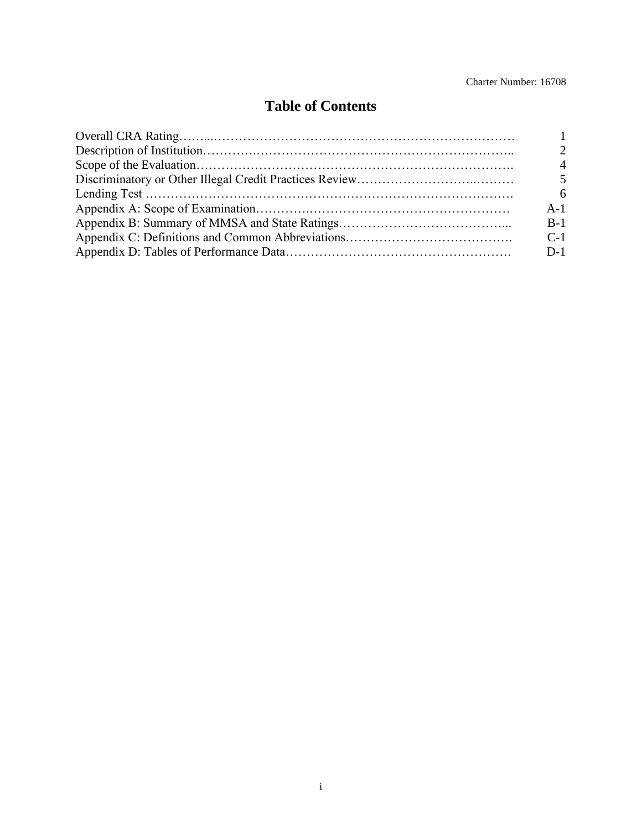#### Charter Number: 16708

## **Table of Contents**

| $\mathcal{D}_{\cdot}$ |
|-----------------------|
| $\overline{4}$        |
| $\mathfrak{H}$        |
| 6                     |
| $A-1$                 |
| $B-1$                 |
| $C-1$                 |
| $D-1$                 |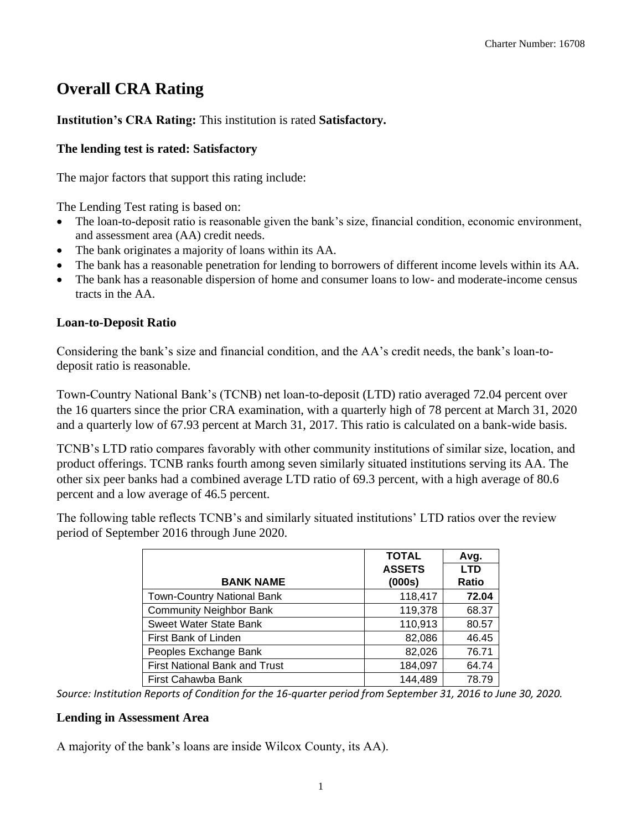## **Overall CRA Rating**

### **Institution's CRA Rating:** This institution is rated **Satisfactory.**

### **The lending test is rated: Satisfactory**

The major factors that support this rating include:

The Lending Test rating is based on:

- The loan-to-deposit ratio is reasonable given the bank's size, financial condition, economic environment, and assessment area (AA) credit needs.
- The bank originates a majority of loans within its AA.
- The bank has a reasonable penetration for lending to borrowers of different income levels within its AA.
- The bank has a reasonable dispersion of home and consumer loans to low- and moderate-income census tracts in the AA.

### **Loan-to-Deposit Ratio**

Considering the bank's size and financial condition, and the AA's credit needs, the bank's loan-todeposit ratio is reasonable.

Town-Country National Bank's (TCNB) net loan-to-deposit (LTD) ratio averaged 72.04 percent over the 16 quarters since the prior CRA examination, with a quarterly high of 78 percent at March 31, 2020 and a quarterly low of 67.93 percent at March 31, 2017. This ratio is calculated on a bank-wide basis.

TCNB's LTD ratio compares favorably with other community institutions of similar size, location, and product offerings. TCNB ranks fourth among seven similarly situated institutions serving its AA. The other six peer banks had a combined average LTD ratio of 69.3 percent, with a high average of 80.6 percent and a low average of 46.5 percent.

The following table reflects TCNB's and similarly situated institutions' LTD ratios over the review period of September 2016 through June 2020.

|                                   | <b>TOTAL</b>  | Avg.         |
|-----------------------------------|---------------|--------------|
|                                   | <b>ASSETS</b> | <b>LTD</b>   |
| <b>BANK NAME</b>                  | (000s)        | <b>Ratio</b> |
| <b>Town-Country National Bank</b> | 118,417       | 72.04        |
| <b>Community Neighbor Bank</b>    | 119,378       | 68.37        |
| Sweet Water State Bank            | 110,913       | 80.57        |
| First Bank of Linden              | 82,086        | 46.45        |
| Peoples Exchange Bank             | 82,026        | 76.71        |
| First National Bank and Trust     | 184,097       | 64.74        |
| First Cahawba Bank                | 144,489       | 78.79        |

*Source: Institution Reports of Condition for the 16-quarter period from September 31, 2016 to June 30, 2020.*

### **Lending in Assessment Area**

A majority of the bank's loans are inside Wilcox County, its AA).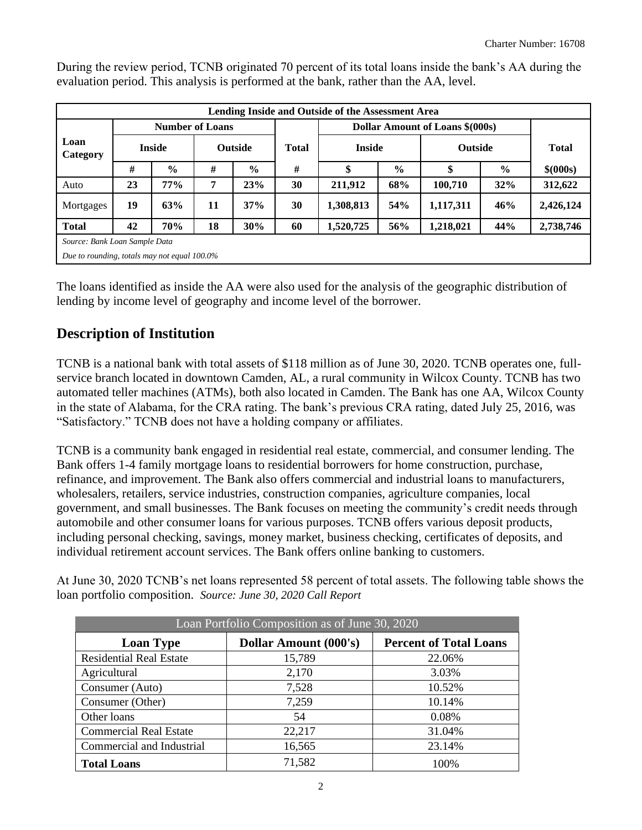|                                              | Lending Inside and Outside of the Assessment Area |                        |    |                |              |               |               |                                 |                                |           |  |  |  |  |
|----------------------------------------------|---------------------------------------------------|------------------------|----|----------------|--------------|---------------|---------------|---------------------------------|--------------------------------|-----------|--|--|--|--|
|                                              |                                                   | <b>Number of Loans</b> |    |                |              |               |               | Dollar Amount of Loans \$(000s) |                                |           |  |  |  |  |
| Loan<br>Category                             |                                                   | <b>Inside</b>          |    | <b>Outside</b> | <b>Total</b> | <b>Inside</b> |               |                                 | <b>Outside</b><br><b>Total</b> |           |  |  |  |  |
|                                              | #                                                 | $\%$                   | #  | $\frac{0}{0}$  | #            | \$            | $\frac{6}{6}$ | \$                              | $\frac{0}{0}$                  | \$ (000s) |  |  |  |  |
| Auto                                         | 23                                                | 77%                    | 7  | 23%            | 30           | 211,912       | 68%           | 100,710                         | 32%                            | 312,622   |  |  |  |  |
| Mortgages                                    | 19                                                | 63%                    | 11 | 37%            | 30           | 1,308,813     | 54%           | 1,117,311                       | 46%                            | 2,426,124 |  |  |  |  |
| <b>Total</b>                                 | 42                                                | 70%                    | 18 | 30%            | 60           | 1,520,725     | 56%           | 1,218,021                       | 44%                            | 2,738,746 |  |  |  |  |
| Source: Bank Loan Sample Data                |                                                   |                        |    |                |              |               |               |                                 |                                |           |  |  |  |  |
| Due to rounding, totals may not equal 100.0% |                                                   |                        |    |                |              |               |               |                                 |                                |           |  |  |  |  |

During the review period, TCNB originated 70 percent of its total loans inside the bank's AA during the evaluation period. This analysis is performed at the bank, rather than the AA, level.

The loans identified as inside the AA were also used for the analysis of the geographic distribution of lending by income level of geography and income level of the borrower.

### **Description of Institution**

TCNB is a national bank with total assets of \$118 million as of June 30, 2020. TCNB operates one, fullservice branch located in downtown Camden, AL, a rural community in Wilcox County. TCNB has two automated teller machines (ATMs), both also located in Camden. The Bank has one AA, Wilcox County in the state of Alabama, for the CRA rating. The bank's previous CRA rating, dated July 25, 2016, was "Satisfactory." TCNB does not have a holding company or affiliates.

TCNB is a community bank engaged in residential real estate, commercial, and consumer lending. The Bank offers 1-4 family mortgage loans to residential borrowers for home construction, purchase, refinance, and improvement. The Bank also offers commercial and industrial loans to manufacturers, wholesalers, retailers, service industries, construction companies, agriculture companies, local government, and small businesses. The Bank focuses on meeting the community's credit needs through automobile and other consumer loans for various purposes. TCNB offers various deposit products, including personal checking, savings, money market, business checking, certificates of deposits, and individual retirement account services. The Bank offers online banking to customers.

At June 30, 2020 TCNB's net loans represented 58 percent of total assets. The following table shows the loan portfolio composition. *Source: June 30, 2020 Call Report*

|                                | Loan Portfolio Composition as of June 30, 2020 |                               |
|--------------------------------|------------------------------------------------|-------------------------------|
| <b>Loan Type</b>               | <b>Dollar Amount (000's)</b>                   | <b>Percent of Total Loans</b> |
| <b>Residential Real Estate</b> | 15,789                                         | 22.06%                        |
| Agricultural                   | 2,170                                          | 3.03%                         |
| Consumer (Auto)                | 7,528                                          | 10.52%                        |
| Consumer (Other)               | 7,259                                          | 10.14%                        |
| Other loans                    | 54                                             | 0.08%                         |
| <b>Commercial Real Estate</b>  | 22,217                                         | 31.04%                        |
| Commercial and Industrial      | 16,565                                         | 23.14%                        |
| <b>Total Loans</b>             | 71,582                                         | 100%                          |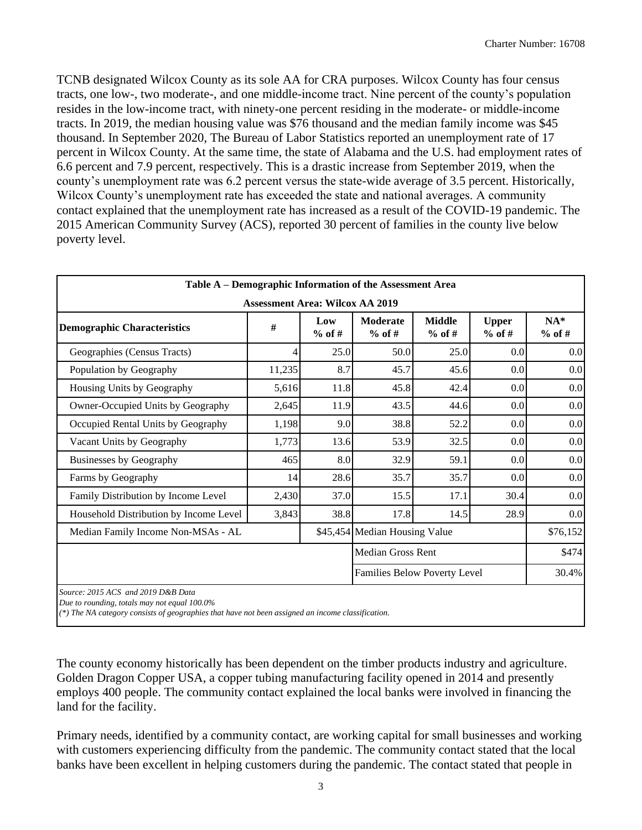TCNB designated Wilcox County as its sole AA for CRA purposes. Wilcox County has four census tracts, one low-, two moderate-, and one middle-income tract. Nine percent of the county's population resides in the low-income tract, with ninety-one percent residing in the moderate- or middle-income tracts. In 2019, the median housing value was \$76 thousand and the median family income was \$45 thousand. In September 2020, The Bureau of Labor Statistics reported an unemployment rate of 17 percent in Wilcox County. At the same time, the state of Alabama and the U.S. had employment rates of 6.6 percent and 7.9 percent, respectively. This is a drastic increase from September 2019, when the county's unemployment rate was 6.2 percent versus the state-wide average of 3.5 percent. Historically, Wilcox County's unemployment rate has exceeded the state and national averages. A community contact explained that the unemployment rate has increased as a result of the COVID-19 pandemic. The 2015 American Community Survey (ACS), reported 30 percent of families in the county live below poverty level.

|                                        | Table A – Demographic Information of the Assessment Area |                 |                               |                           |                          |                   |  |  |  |  |  |  |
|----------------------------------------|----------------------------------------------------------|-----------------|-------------------------------|---------------------------|--------------------------|-------------------|--|--|--|--|--|--|
| <b>Assessment Area: Wilcox AA 2019</b> |                                                          |                 |                               |                           |                          |                   |  |  |  |  |  |  |
| <b>Demographic Characteristics</b>     | #                                                        | Low<br>$%$ of # | <b>Moderate</b><br>$%$ of #   | <b>Middle</b><br>$%$ of # | <b>Upper</b><br>$%$ of # | $NA*$<br>$%$ of # |  |  |  |  |  |  |
| Geographies (Census Tracts)            | 4                                                        | 25.0            | 50.0                          | 25.0                      | 0.0                      | 0.0               |  |  |  |  |  |  |
| Population by Geography                | 11,235                                                   | 8.7             | 45.7                          | 45.6                      | 0.0                      | 0.0               |  |  |  |  |  |  |
| Housing Units by Geography             | 5,616                                                    | 11.8            | 45.8                          | 42.4                      | 0.0                      | 0.0               |  |  |  |  |  |  |
| Owner-Occupied Units by Geography      | 2,645                                                    | 11.9            | 43.5                          | 44.6                      | 0.0                      | 0.0               |  |  |  |  |  |  |
| Occupied Rental Units by Geography     | 1,198                                                    | 9.0             | 38.8                          | 52.2                      | 0.0                      | 0.0               |  |  |  |  |  |  |
| Vacant Units by Geography              | 1,773                                                    | 13.6            | 53.9                          | 32.5                      | 0.0                      | 0.0               |  |  |  |  |  |  |
| <b>Businesses by Geography</b>         | 465                                                      | 8.0             | 32.9                          | 59.1                      | 0.0                      | 0.0               |  |  |  |  |  |  |
| Farms by Geography                     | 14                                                       | 28.6            | 35.7                          | 35.7                      | 0.0                      | 0.0               |  |  |  |  |  |  |
| Family Distribution by Income Level    | 2,430                                                    | 37.0            | 15.5                          | 17.1                      | 30.4                     | 0.0               |  |  |  |  |  |  |
| Household Distribution by Income Level | 3,843                                                    | 38.8            | 17.8                          | 14.5                      | 28.9                     | 0.0               |  |  |  |  |  |  |
| Median Family Income Non-MSAs - AL     |                                                          |                 | \$45,454 Median Housing Value |                           |                          | \$76,152          |  |  |  |  |  |  |
|                                        |                                                          |                 | Median Gross Rent             |                           |                          | \$474             |  |  |  |  |  |  |
|                                        |                                                          |                 | Families Below Poverty Level  |                           |                          | 30.4%             |  |  |  |  |  |  |
| Source: 2015 ACS and 2019 D&B Data     |                                                          |                 |                               |                           |                          |                   |  |  |  |  |  |  |

*Due to rounding, totals may not equal 100.0%*

*(\*) The NA category consists of geographies that have not been assigned an income classification.*

The county economy historically has been dependent on the timber products industry and agriculture. Golden Dragon Copper USA, a copper tubing manufacturing facility opened in 2014 and presently employs 400 people. The community contact explained the local banks were involved in financing the land for the facility.

Primary needs, identified by a community contact, are working capital for small businesses and working with customers experiencing difficulty from the pandemic. The community contact stated that the local banks have been excellent in helping customers during the pandemic. The contact stated that people in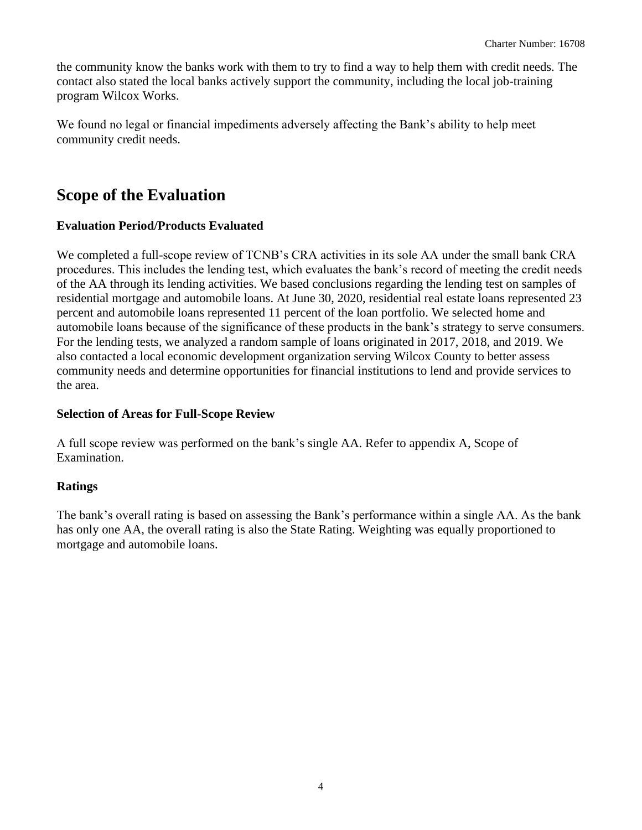the community know the banks work with them to try to find a way to help them with credit needs. The contact also stated the local banks actively support the community, including the local job-training program Wilcox Works.

We found no legal or financial impediments adversely affecting the Bank's ability to help meet community credit needs.

## **Scope of the Evaluation**

### **Evaluation Period/Products Evaluated**

We completed a full-scope review of TCNB's CRA activities in its sole AA under the small bank CRA procedures. This includes the lending test, which evaluates the bank's record of meeting the credit needs of the AA through its lending activities. We based conclusions regarding the lending test on samples of residential mortgage and automobile loans. At June 30, 2020, residential real estate loans represented 23 percent and automobile loans represented 11 percent of the loan portfolio. We selected home and automobile loans because of the significance of these products in the bank's strategy to serve consumers. For the lending tests, we analyzed a random sample of loans originated in 2017, 2018, and 2019. We also contacted a local economic development organization serving Wilcox County to better assess community needs and determine opportunities for financial institutions to lend and provide services to the area.

#### **Selection of Areas for Full-Scope Review**

A full scope review was performed on the bank's single AA. Refer to appendix A, Scope of Examination.

### **Ratings**

The bank's overall rating is based on assessing the Bank's performance within a single AA. As the bank has only one AA, the overall rating is also the State Rating. Weighting was equally proportioned to mortgage and automobile loans.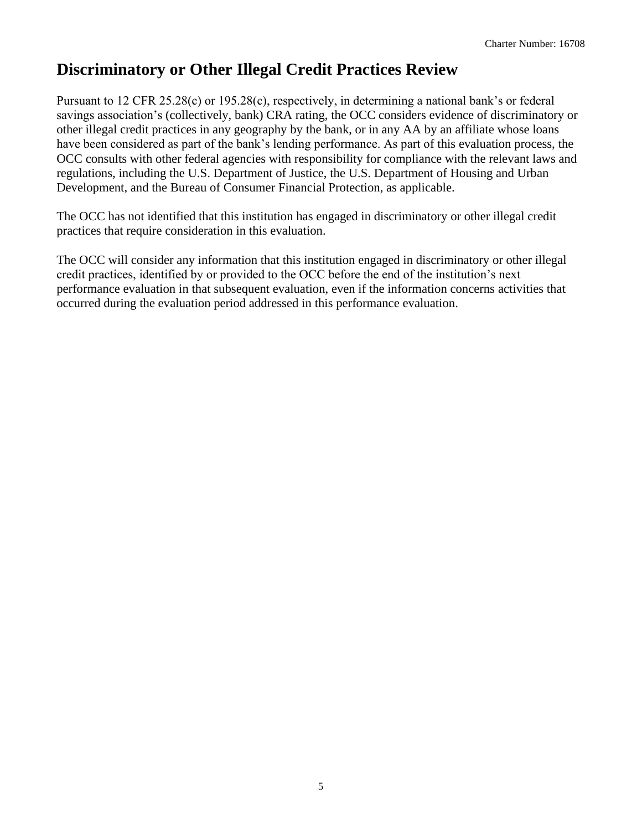## **Discriminatory or Other Illegal Credit Practices Review**

Pursuant to 12 CFR 25.28(c) or 195.28(c), respectively, in determining a national bank's or federal savings association's (collectively, bank) CRA rating, the OCC considers evidence of discriminatory or other illegal credit practices in any geography by the bank, or in any AA by an affiliate whose loans have been considered as part of the bank's lending performance. As part of this evaluation process, the OCC consults with other federal agencies with responsibility for compliance with the relevant laws and regulations, including the U.S. Department of Justice, the U.S. Department of Housing and Urban Development, and the Bureau of Consumer Financial Protection, as applicable.

The OCC has not identified that this institution has engaged in discriminatory or other illegal credit practices that require consideration in this evaluation.

The OCC will consider any information that this institution engaged in discriminatory or other illegal credit practices, identified by or provided to the OCC before the end of the institution's next performance evaluation in that subsequent evaluation, even if the information concerns activities that occurred during the evaluation period addressed in this performance evaluation.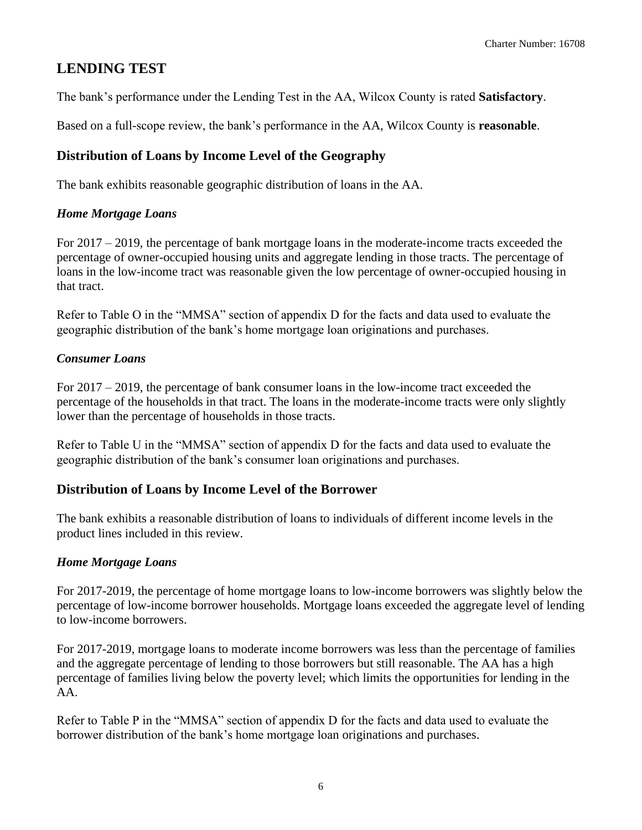### **LENDING TEST**

The bank's performance under the Lending Test in the AA, Wilcox County is rated **Satisfactory**.

Based on a full-scope review, the bank's performance in the AA, Wilcox County is **reasonable**.

### **Distribution of Loans by Income Level of the Geography**

The bank exhibits reasonable geographic distribution of loans in the AA.

#### *Home Mortgage Loans*

For 2017 – 2019, the percentage of bank mortgage loans in the moderate-income tracts exceeded the percentage of owner-occupied housing units and aggregate lending in those tracts. The percentage of loans in the low-income tract was reasonable given the low percentage of owner-occupied housing in that tract.

Refer to Table O in the "MMSA" section of appendix D for the facts and data used to evaluate the geographic distribution of the bank's home mortgage loan originations and purchases.

### *Consumer Loans*

For 2017 – 2019, the percentage of bank consumer loans in the low-income tract exceeded the percentage of the households in that tract. The loans in the moderate-income tracts were only slightly lower than the percentage of households in those tracts.

Refer to Table U in the "MMSA" section of appendix D for the facts and data used to evaluate the geographic distribution of the bank's consumer loan originations and purchases.

### **Distribution of Loans by Income Level of the Borrower**

The bank exhibits a reasonable distribution of loans to individuals of different income levels in the product lines included in this review.

### *Home Mortgage Loans*

For 2017-2019, the percentage of home mortgage loans to low-income borrowers was slightly below the percentage of low-income borrower households. Mortgage loans exceeded the aggregate level of lending to low-income borrowers.

For 2017-2019, mortgage loans to moderate income borrowers was less than the percentage of families and the aggregate percentage of lending to those borrowers but still reasonable. The AA has a high percentage of families living below the poverty level; which limits the opportunities for lending in the AA.

Refer to Table P in the "MMSA" section of appendix D for the facts and data used to evaluate the borrower distribution of the bank's home mortgage loan originations and purchases.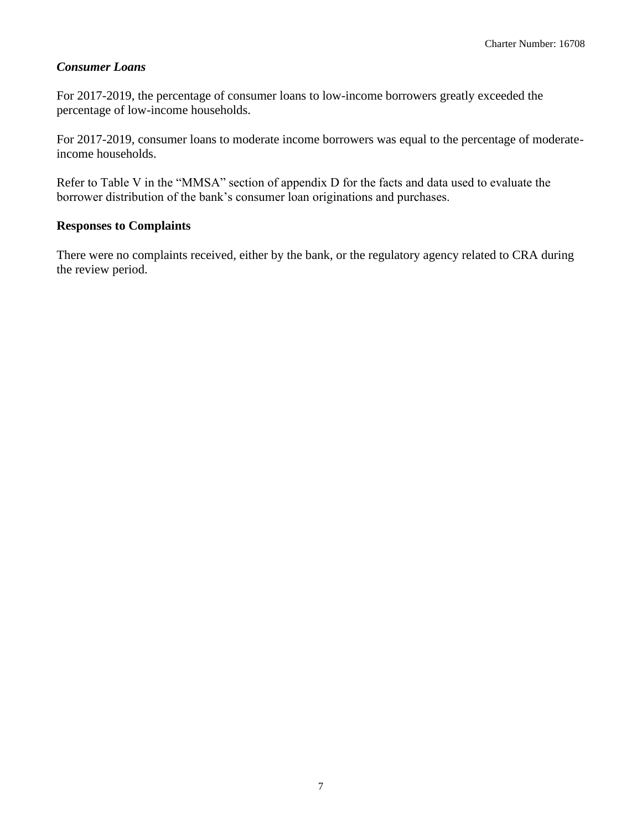#### *Consumer Loans*

For 2017-2019, the percentage of consumer loans to low-income borrowers greatly exceeded the percentage of low-income households.

For 2017-2019, consumer loans to moderate income borrowers was equal to the percentage of moderateincome households.

Refer to Table V in the "MMSA" section of appendix D for the facts and data used to evaluate the borrower distribution of the bank's consumer loan originations and purchases.

#### **Responses to Complaints**

There were no complaints received, either by the bank, or the regulatory agency related to CRA during the review period.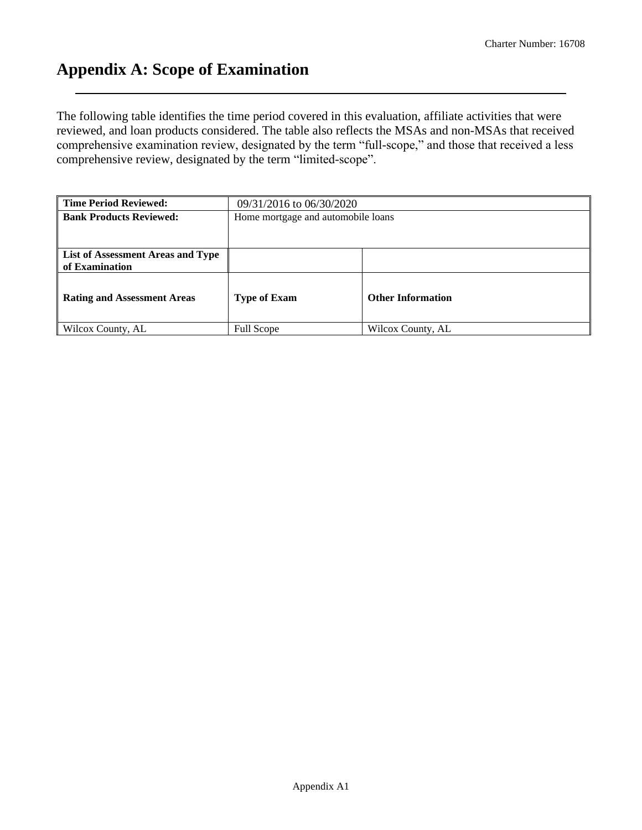## **Appendix A: Scope of Examination**

The following table identifies the time period covered in this evaluation, affiliate activities that were reviewed, and loan products considered. The table also reflects the MSAs and non-MSAs that received comprehensive examination review, designated by the term "full-scope," and those that received a less comprehensive review, designated by the term "limited-scope".

| <b>Time Period Reviewed:</b>                        | 09/31/2016 to 06/30/2020 |                                    |  |  |  |  |  |  |  |  |  |
|-----------------------------------------------------|--------------------------|------------------------------------|--|--|--|--|--|--|--|--|--|
| <b>Bank Products Reviewed:</b>                      |                          | Home mortgage and automobile loans |  |  |  |  |  |  |  |  |  |
|                                                     |                          |                                    |  |  |  |  |  |  |  |  |  |
| List of Assessment Areas and Type<br>of Examination |                          |                                    |  |  |  |  |  |  |  |  |  |
| <b>Rating and Assessment Areas</b>                  | <b>Type of Exam</b>      | <b>Other Information</b>           |  |  |  |  |  |  |  |  |  |
| Wilcox County, AL                                   | <b>Full Scope</b>        | Wilcox County, AL                  |  |  |  |  |  |  |  |  |  |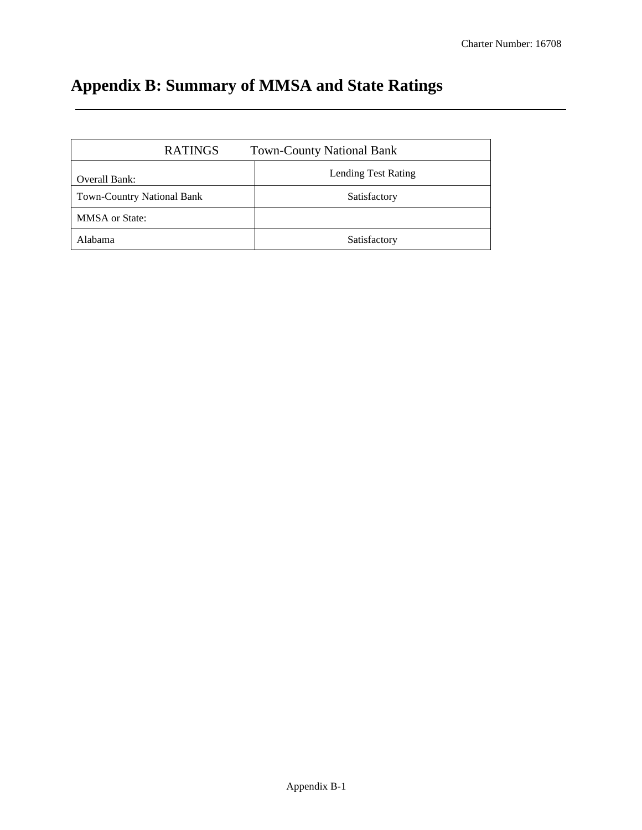# **Appendix B: Summary of MMSA and State Ratings**

| <b>RATINGS</b>                    | <b>Town-County National Bank</b> |
|-----------------------------------|----------------------------------|
| Overall Bank:                     | Lending Test Rating              |
| <b>Town-Country National Bank</b> | Satisfactory                     |
| <b>MMSA</b> or State:             |                                  |
| Alabama                           | Satisfactory                     |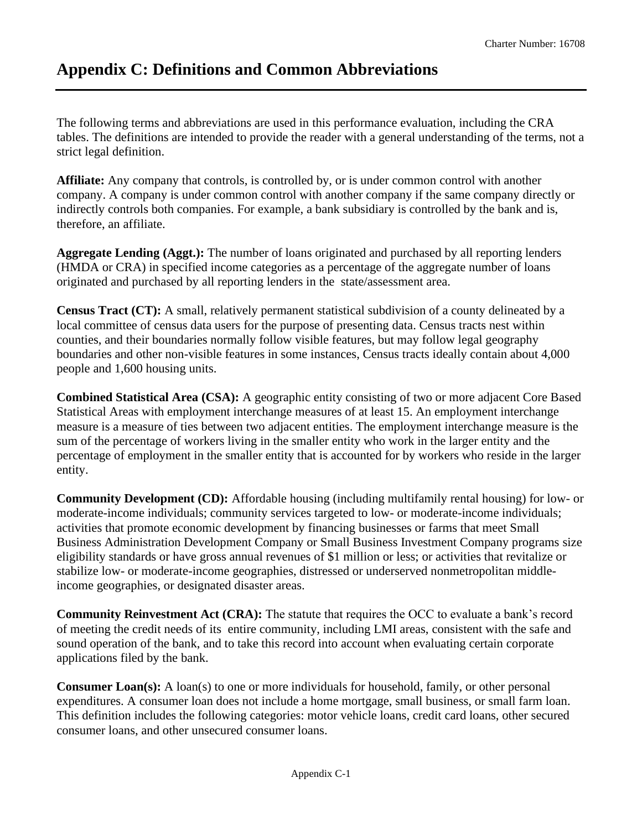## **Appendix C: Definitions and Common Abbreviations**

The following terms and abbreviations are used in this performance evaluation, including the CRA tables. The definitions are intended to provide the reader with a general understanding of the terms, not a strict legal definition.

**Affiliate:** Any company that controls, is controlled by, or is under common control with another company. A company is under common control with another company if the same company directly or indirectly controls both companies. For example, a bank subsidiary is controlled by the bank and is, therefore, an affiliate.

**Aggregate Lending (Aggt.):** The number of loans originated and purchased by all reporting lenders (HMDA or CRA) in specified income categories as a percentage of the aggregate number of loans originated and purchased by all reporting lenders in the state/assessment area.

**Census Tract (CT):** A small, relatively permanent statistical subdivision of a county delineated by a local committee of census data users for the purpose of presenting data. Census tracts nest within counties, and their boundaries normally follow visible features, but may follow legal geography boundaries and other non-visible features in some instances, Census tracts ideally contain about 4,000 people and 1,600 housing units.

**Combined Statistical Area (CSA):** A geographic entity consisting of two or more adjacent Core Based Statistical Areas with employment interchange measures of at least 15. An employment interchange measure is a measure of ties between two adjacent entities. The employment interchange measure is the sum of the percentage of workers living in the smaller entity who work in the larger entity and the percentage of employment in the smaller entity that is accounted for by workers who reside in the larger entity.

**Community Development (CD):** Affordable housing (including multifamily rental housing) for low- or moderate-income individuals; community services targeted to low- or moderate-income individuals; activities that promote economic development by financing businesses or farms that meet Small Business Administration Development Company or Small Business Investment Company programs size eligibility standards or have gross annual revenues of \$1 million or less; or activities that revitalize or stabilize low- or moderate-income geographies, distressed or underserved nonmetropolitan middleincome geographies, or designated disaster areas.

**Community Reinvestment Act (CRA):** The statute that requires the OCC to evaluate a bank's record of meeting the credit needs of its entire community, including LMI areas, consistent with the safe and sound operation of the bank, and to take this record into account when evaluating certain corporate applications filed by the bank.

**Consumer Loan(s):** A loan(s) to one or more individuals for household, family, or other personal expenditures. A consumer loan does not include a home mortgage, small business, or small farm loan. This definition includes the following categories: motor vehicle loans, credit card loans, other secured consumer loans, and other unsecured consumer loans.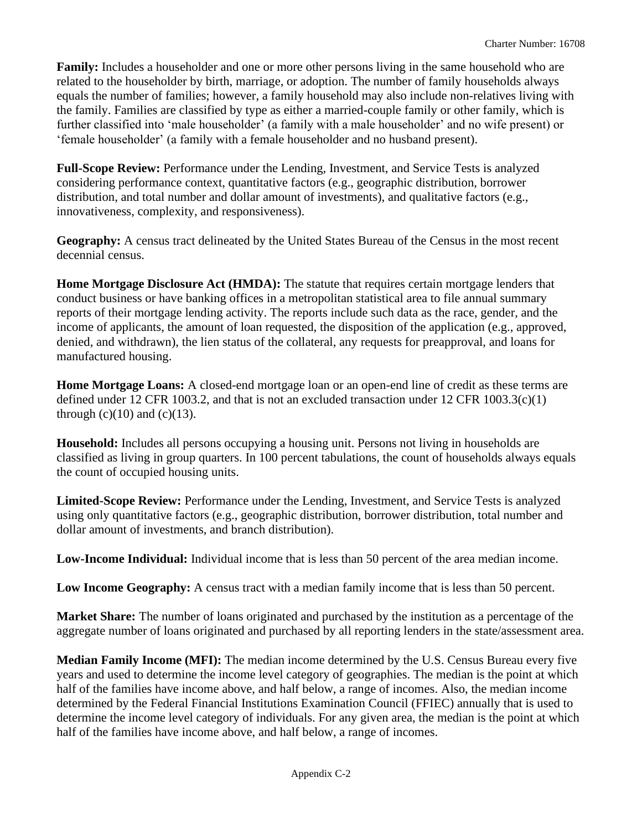**Family:** Includes a householder and one or more other persons living in the same household who are related to the householder by birth, marriage, or adoption. The number of family households always equals the number of families; however, a family household may also include non-relatives living with the family. Families are classified by type as either a married-couple family or other family, which is further classified into 'male householder' (a family with a male householder' and no wife present) or 'female householder' (a family with a female householder and no husband present).

**Full-Scope Review:** Performance under the Lending, Investment, and Service Tests is analyzed considering performance context, quantitative factors (e.g., geographic distribution, borrower distribution, and total number and dollar amount of investments), and qualitative factors (e.g., innovativeness, complexity, and responsiveness).

**Geography:** A census tract delineated by the United States Bureau of the Census in the most recent decennial census.

**Home Mortgage Disclosure Act (HMDA):** The statute that requires certain mortgage lenders that conduct business or have banking offices in a metropolitan statistical area to file annual summary reports of their mortgage lending activity. The reports include such data as the race, gender, and the income of applicants, the amount of loan requested, the disposition of the application (e.g., approved, denied, and withdrawn), the lien status of the collateral, any requests for preapproval, and loans for manufactured housing.

**Home Mortgage Loans:** A closed-end mortgage loan or an open-end line of credit as these terms are defined under 12 CFR 1003.2, and that is not an excluded transaction under 12 CFR 1003.3(c)(1) through  $(c)(10)$  and  $(c)(13)$ .

**Household:** Includes all persons occupying a housing unit. Persons not living in households are classified as living in group quarters. In 100 percent tabulations, the count of households always equals the count of occupied housing units.

**Limited-Scope Review:** Performance under the Lending, Investment, and Service Tests is analyzed using only quantitative factors (e.g., geographic distribution, borrower distribution, total number and dollar amount of investments, and branch distribution).

**Low-Income Individual:** Individual income that is less than 50 percent of the area median income.

**Low Income Geography:** A census tract with a median family income that is less than 50 percent.

**Market Share:** The number of loans originated and purchased by the institution as a percentage of the aggregate number of loans originated and purchased by all reporting lenders in the state/assessment area.

**Median Family Income (MFI):** The median income determined by the U.S. Census Bureau every five years and used to determine the income level category of geographies. The median is the point at which half of the families have income above, and half below, a range of incomes. Also, the median income determined by the Federal Financial Institutions Examination Council (FFIEC) annually that is used to determine the income level category of individuals. For any given area, the median is the point at which half of the families have income above, and half below, a range of incomes.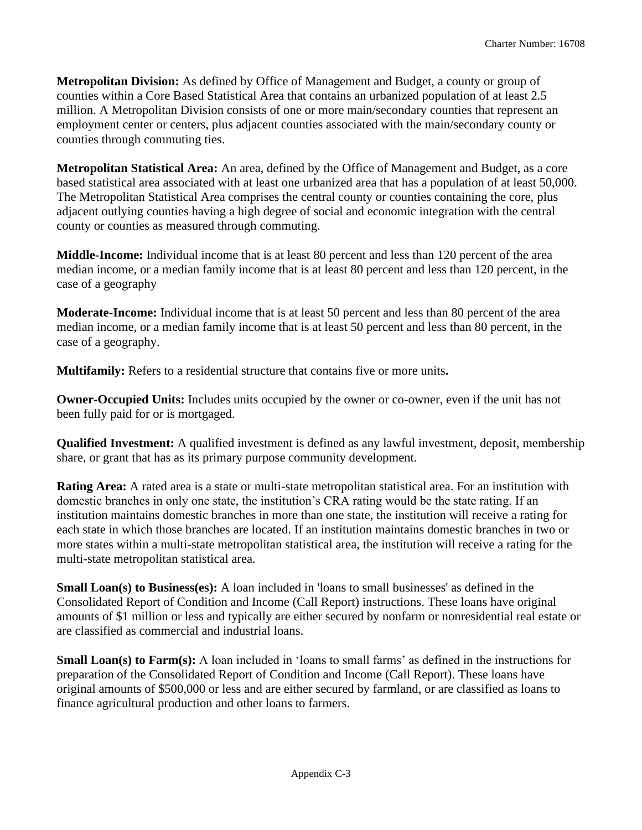**Metropolitan Division:** As defined by Office of Management and Budget, a county or group of counties within a Core Based Statistical Area that contains an urbanized population of at least 2.5 million. A Metropolitan Division consists of one or more main/secondary counties that represent an employment center or centers, plus adjacent counties associated with the main/secondary county or counties through commuting ties.

**Metropolitan Statistical Area:** An area, defined by the Office of Management and Budget, as a core based statistical area associated with at least one urbanized area that has a population of at least 50,000. The Metropolitan Statistical Area comprises the central county or counties containing the core, plus adjacent outlying counties having a high degree of social and economic integration with the central county or counties as measured through commuting.

**Middle-Income:** Individual income that is at least 80 percent and less than 120 percent of the area median income, or a median family income that is at least 80 percent and less than 120 percent, in the case of a geography

**Moderate-Income:** Individual income that is at least 50 percent and less than 80 percent of the area median income, or a median family income that is at least 50 percent and less than 80 percent, in the case of a geography.

**Multifamily:** Refers to a residential structure that contains five or more units**.**

**Owner-Occupied Units:** Includes units occupied by the owner or co-owner, even if the unit has not been fully paid for or is mortgaged.

**Qualified Investment:** A qualified investment is defined as any lawful investment, deposit, membership share, or grant that has as its primary purpose community development.

**Rating Area:** A rated area is a state or multi-state metropolitan statistical area. For an institution with domestic branches in only one state, the institution's CRA rating would be the state rating. If an institution maintains domestic branches in more than one state, the institution will receive a rating for each state in which those branches are located. If an institution maintains domestic branches in two or more states within a multi-state metropolitan statistical area, the institution will receive a rating for the multi-state metropolitan statistical area.

**Small Loan(s) to Business(es):** A loan included in 'loans to small businesses' as defined in the Consolidated Report of Condition and Income (Call Report) instructions. These loans have original amounts of \$1 million or less and typically are either secured by nonfarm or nonresidential real estate or are classified as commercial and industrial loans.

**Small Loan(s) to Farm(s):** A loan included in 'loans to small farms' as defined in the instructions for preparation of the Consolidated Report of Condition and Income (Call Report). These loans have original amounts of \$500,000 or less and are either secured by farmland, or are classified as loans to finance agricultural production and other loans to farmers.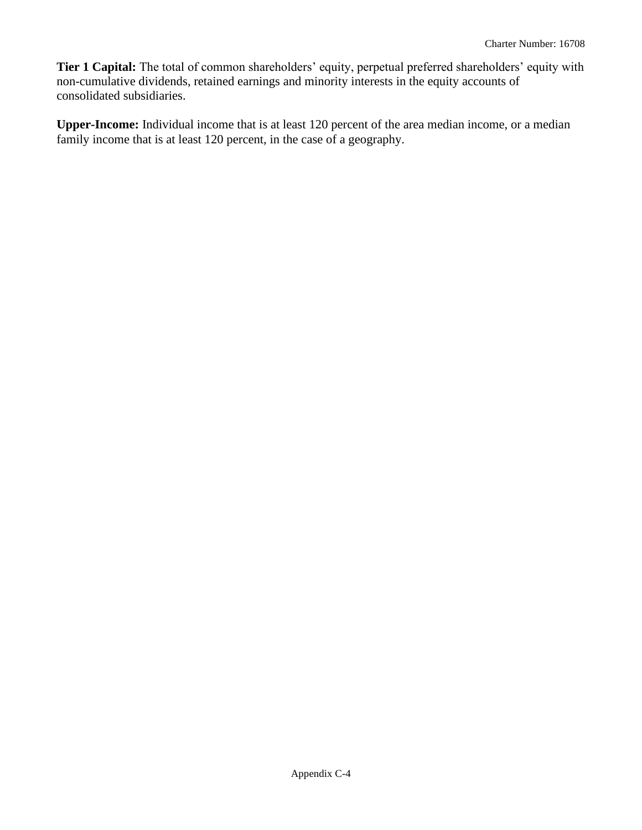**Tier 1 Capital:** The total of common shareholders' equity, perpetual preferred shareholders' equity with non-cumulative dividends, retained earnings and minority interests in the equity accounts of consolidated subsidiaries.

**Upper-Income:** Individual income that is at least 120 percent of the area median income, or a median family income that is at least 120 percent, in the case of a geography.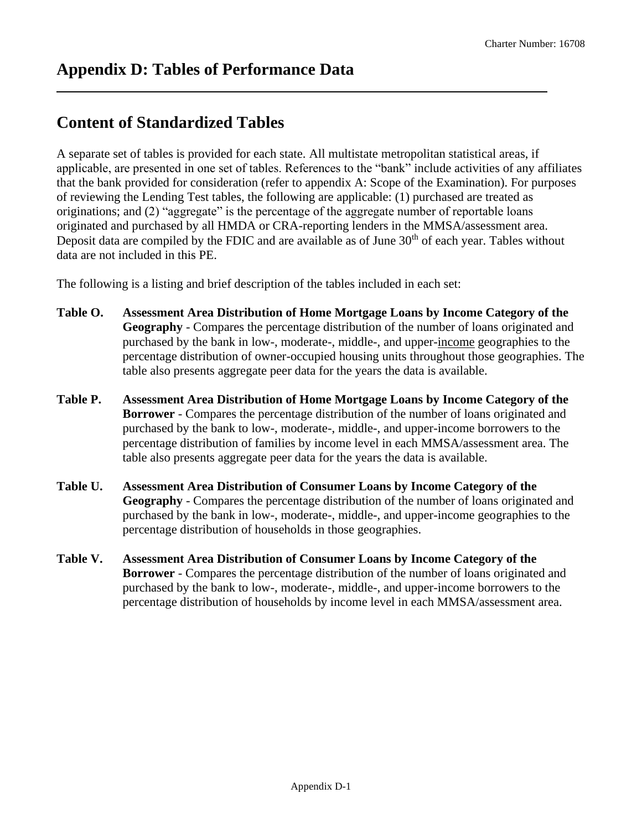## **Content of Standardized Tables**

A separate set of tables is provided for each state. All multistate metropolitan statistical areas, if applicable, are presented in one set of tables. References to the "bank" include activities of any affiliates that the bank provided for consideration (refer to appendix A: Scope of the Examination). For purposes of reviewing the Lending Test tables, the following are applicable: (1) purchased are treated as originations; and (2) "aggregate" is the percentage of the aggregate number of reportable loans originated and purchased by all HMDA or CRA-reporting lenders in the MMSA/assessment area. Deposit data are compiled by the FDIC and are available as of June  $30<sup>th</sup>$  of each year. Tables without data are not included in this PE.

The following is a listing and brief description of the tables included in each set:

- **Table O. Assessment Area Distribution of Home Mortgage Loans by Income Category of the Geography** - Compares the percentage distribution of the number of loans originated and purchased by the bank in low-, moderate-, middle-, and upper-income geographies to the percentage distribution of owner-occupied housing units throughout those geographies. The table also presents aggregate peer data for the years the data is available.
- **Table P. Assessment Area Distribution of Home Mortgage Loans by Income Category of the Borrower** - Compares the percentage distribution of the number of loans originated and purchased by the bank to low-, moderate-, middle-, and upper-income borrowers to the percentage distribution of families by income level in each MMSA/assessment area. The table also presents aggregate peer data for the years the data is available.
- **Table U. Assessment Area Distribution of Consumer Loans by Income Category of the Geography** - Compares the percentage distribution of the number of loans originated and purchased by the bank in low-, moderate-, middle-, and upper-income geographies to the percentage distribution of households in those geographies.
- **Table V. Assessment Area Distribution of Consumer Loans by Income Category of the Borrower** - Compares the percentage distribution of the number of loans originated and purchased by the bank to low-, moderate-, middle-, and upper-income borrowers to the percentage distribution of households by income level in each MMSA/assessment area.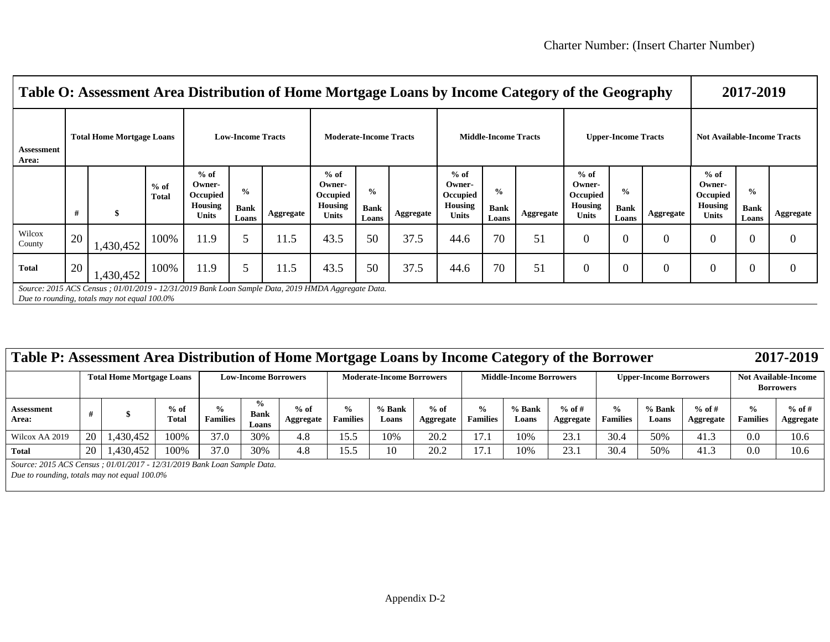|                     | Table O: Assessment Area Distribution of Home Mortgage Loans by Income Category of the Geography                                                   |                                  |                 |                                                         |                                       |           |                                                         |                                       |           |                                                         |                                       |           |                                                  |                                       | 2017-2019 |                                                         |                                       |                |
|---------------------|----------------------------------------------------------------------------------------------------------------------------------------------------|----------------------------------|-----------------|---------------------------------------------------------|---------------------------------------|-----------|---------------------------------------------------------|---------------------------------------|-----------|---------------------------------------------------------|---------------------------------------|-----------|--------------------------------------------------|---------------------------------------|-----------|---------------------------------------------------------|---------------------------------------|----------------|
| Assessment<br>Area: |                                                                                                                                                    | <b>Total Home Mortgage Loans</b> |                 | <b>Low-Income Tracts</b>                                |                                       |           |                                                         | <b>Moderate-Income Tracts</b>         |           |                                                         | <b>Middle-Income Tracts</b>           |           |                                                  | <b>Upper-Income Tracts</b>            |           | <b>Not Available-Income Tracts</b>                      |                                       |                |
|                     | #                                                                                                                                                  |                                  | $%$ of<br>Total | $%$ of<br>Owner-<br>Occupied<br>Housing<br><b>Units</b> | $\frac{0}{0}$<br><b>Bank</b><br>Loans | Aggregate | $%$ of<br>Owner-<br>Occupied<br>Housing<br><b>Units</b> | $\frac{0}{0}$<br><b>Bank</b><br>Loans | Aggregate | $%$ of<br>Owner-<br>Occupied<br>Housing<br><b>Units</b> | $\frac{0}{0}$<br><b>Bank</b><br>Loans | Aggregate | $%$ of<br>Owner-<br>Occupied<br>Housing<br>Units | $\frac{0}{0}$<br><b>Bank</b><br>Loans | Aggregate | $%$ of<br>Owner-<br>Occupied<br>Housing<br><b>Units</b> | $\frac{0}{0}$<br><b>Bank</b><br>Loans | Aggregate      |
| Wilcox<br>County    | 20                                                                                                                                                 | 1,430,452                        | 100%            | 11.9                                                    |                                       | 11.5      | 43.5                                                    | 50                                    | 37.5      | 44.6                                                    | 70                                    | 51        | $\overline{0}$                                   |                                       | $\theta$  | 0                                                       | $\Omega$                              | $\overline{0}$ |
| <b>Total</b>        | 20                                                                                                                                                 | 1,430,452                        | 100%            | 11.9                                                    | 5                                     | 11.5      | 43.5                                                    | 50                                    | 37.5      | 44.6                                                    | 70                                    | 51        | $\overline{0}$                                   |                                       | $\theta$  | $\theta$                                                | $\boldsymbol{0}$                      | $\theta$       |
|                     | Source: 2015 ACS Census ; 01/01/2019 - 12/31/2019 Bank Loan Sample Data, 2019 HMDA Aggregate Data.<br>Due to rounding, totals may not equal 100.0% |                                  |                 |                                                         |                                       |           |                                                         |                                       |           |                                                         |                                       |           |                                                  |                                       |           |                                                         |                                       |                |

| Table P: Assessment Area Distribution of Home Mortgage Loans by Income Category of the Borrower | 2017-2019 |
|-------------------------------------------------------------------------------------------------|-----------|

|                            |    | <b>Total Home Mortgage Loans</b> |                        |                                  | <b>Low-Income Borrowers</b>           |                     |                      | <b>Moderate-Income Borrowers</b> |                     |                                  | <b>Middle-Income Borrowers</b> |                       |                                  | <b>Upper-Income Borrowers</b> |                       |                                  | <b>Not Available-Income</b><br><b>Borrowers</b> |  |  |
|----------------------------|----|----------------------------------|------------------------|----------------------------------|---------------------------------------|---------------------|----------------------|----------------------------------|---------------------|----------------------------------|--------------------------------|-----------------------|----------------------------------|-------------------------------|-----------------------|----------------------------------|-------------------------------------------------|--|--|
| <b>Assessment</b><br>Area: |    |                                  | $%$ of<br><b>Total</b> | $\frac{0}{n}$<br><b>Families</b> | $\frac{6}{9}$<br><b>Bank</b><br>Loans | $%$ of<br>Aggregate | ℅<br><b>Families</b> | % Bank<br>Loans                  | $%$ of<br>Aggregate | $\frac{6}{9}$<br><b>Families</b> | % Bank<br>Loans                | $%$ of #<br>Aggregate | $\frac{1}{2}$<br><b>Families</b> | % Bank<br>Loans               | $%$ of #<br>Aggregate | $\frac{0}{0}$<br><b>Families</b> | $%$ of #<br><b>Aggregate</b>                    |  |  |
| Wilcox AA 2019             | 20 | .430.452                         | 100%                   | 37.0                             | 30%                                   | 4.8                 |                      | 10%                              | 20.2                | 1 <sub>7</sub>                   | 10%                            | 23.1                  | 30.4                             | 50%                           | 41.3                  | 0.0                              | 10.6                                            |  |  |
| <b>Total</b>               | 20 | ,430,452                         | 100%                   | 37.0                             | 30%                                   | 4.8                 |                      | 10                               | 20.2                | $\overline{ }$                   | 10%                            | 23.1                  | 30.4                             | 50%                           | 41.3                  | 0.0                              | 10.6                                            |  |  |

*Source: 2015 ACS Census ; 01/01/2017 - 12/31/2019 Bank Loan Sample Data.*

*Due to rounding, totals may not equal 100.0%*